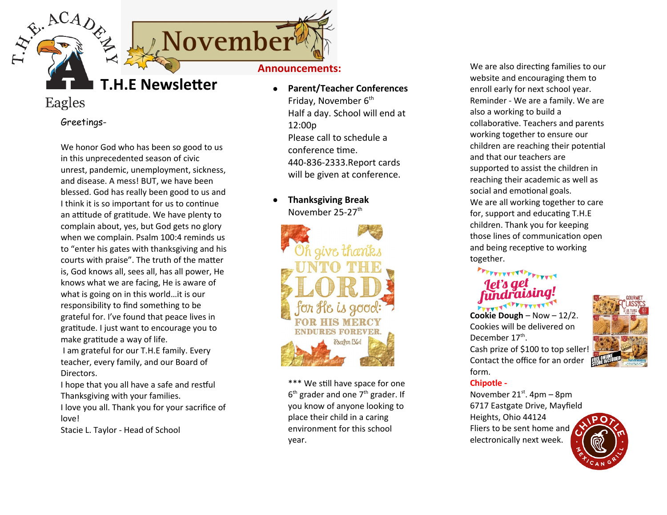

## Eagles

Greetings-

We honor God who has been so good to us in this unprecedented season of civic unrest, pandemic, unemployment, sickness, and disease. A mess! BUT, we have been blessed. God has really been good to us and I think it is so important for us to continue an attitude of gratitude. We have plenty to complain about, yes, but God gets no glory when we complain. Psalm 100:4 reminds us to "enter his gates with thanksgiving and his courts with praise". The truth of the matter is, God knows all, sees all, has all power, He knows what we are facing, He is aware of what is going on in this world…it is our responsibility to find something to be grateful for. I've found that peace lives in gratitude. I just want to encourage you to make gratitude a way of life. I am grateful for our T.H.E family. Every

teacher, every family, and our Board of Directors.

I hope that you all have a safe and restful Thanksgiving with your families. I love you all. Thank you for your sacrifice of love!

Stacie L. Taylor - Head of School

- **Parent/Teacher Conferences** Friday, November  $6<sup>th</sup>$ Half a day. School will end at 12:00p Please call to schedule a conference time. 440-836-2333.Report cards will be given at conference.
- **Thanksgiving Break** November 25-27<sup>th</sup>



\*\*\* We still have space for one  $6<sup>th</sup>$  grader and one 7<sup>th</sup> grader. If you know of anyone looking to place their child in a caring environment for this school year.

We are also directing families to our website and encouraging them to enroll early for next school year. Reminder - We are a family. We are also a working to build a collaborative. Teachers and parents working together to ensure our children are reaching their potential and that our teachers are supported to assist the children in reaching their academic as well as social and emotional goals. We are all working together to care for, support and educating T.H.E children. Thank you for keeping those lines of communication open and being receptive to working together.

# **ANTELETATIVE ANTELIA**

**Cookie Dough** – Now – 12/2. Cookies will be delivered on December 17<sup>th</sup>. Cash prize of \$100 to top seller! Contact the office for an order form.



## **Chipotle -**

November  $21^{st}$ . 4pm – 8pm 6717 Eastgate Drive, Mayfield Heights, Ohio 44124 Fliers to be sent home and electronically next week.

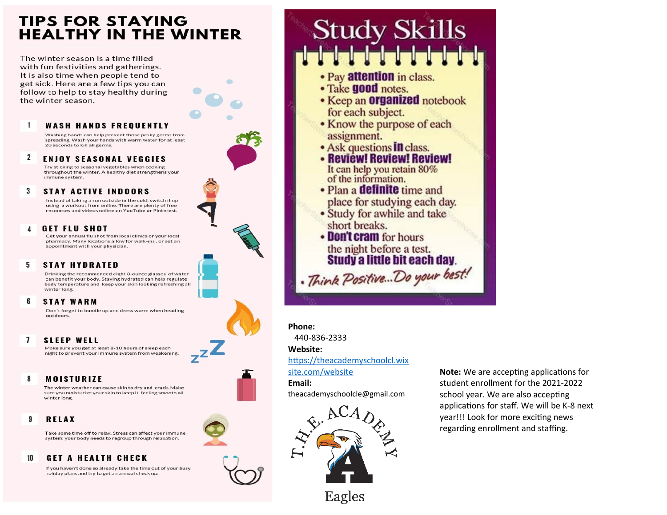## **TIPS FOR STAYING HEALTHY IN THE WINTER**

The winter season is a time filled with fun festivities and gatherings. It is also time when people tend to get sick. Here are a few tips you can follow to help to stay healthy during the winter season.

#### 1 **WASH HANDS FREQUENTLY**

Washing hands can help prevent those pesky germs from spreading. Wash your hands with warm water for at least 20 seconds to kill all germs

 $\overline{2}$ **ENJOY SEASONAL VEGGIES** Try sticking to seasonal vegetables when cooking

throughout the winter. A healthy diet strengthens your immune system.

#### $\overline{\mathbf{3}}$ **STAY ACTIVE INDOORS**

Instead of taking a run outside in the cold, switch it up using a workout from online. There are plenty of free resources and videos online on YouTube or Pinterest.

#### **GET FLU SHOT** Δ

Get your annual flu shot from local clinics or your local pharmacy. Many locations allow for walk-ins , or set an appointment with your physician.

#### **STAY HYDRATED** 5.

Drinking the recommended eight 8-ounce glasses of water can benefit your body. Staying hydrated can help regulate body temperature and keep your skin looking refreshing all winter long.

#### ĥ **STAY WARM**

Don't forget to bundle up and dress warm when heading outdoors.

#### $\mathbf{7}$ **SLEEP WELL**

Make sure you get at least 8-10 hours of sleep each night to prevent your immune system from weakening

#### **MOISTURIZE** 8

The winter weather can cause skin to dry and crack. Make sure you moisturize your skin to keep it feeling smooth all winter long

#### 9 **RELAX**

Take some time off to relax. Stress can affect your immune system; your body needs to regroup through relaxation.

#### **GET A HEALTH CHECK** 10

If you haven't done so already, take the time out of your busy holiday plans and try to get an annual check up.

## **Study Skills** ika kaika kaika kaika k

- Pay attention in class.
- Take **good** notes.
- Keep an **Organized** notebook for each subject.
- Know the purpose of each assignment.
- Ask questions **In** class.
- Review! Review! Review! It can help you retain 80% of the information.
- Plan a **definite** time and
- place for studying each day.
- Study for awhile and take short breaks.
- Don't cram for hours the night before a test. **Study a little bit each day.** . Think Positive... Do your best!

Phone:

440-836-2333

### Website:

https://theacademyschoolcl.wix

site.com/website

Email:

theacademyschoolcle@gmail.com



Eagles

**Note:** We are accepting applications for student enrollment for the 2021-2022 school year. We are also accepting applications for staff. We will be K-8 next year!!! Look for more exciting news regarding enrollment and staffing.